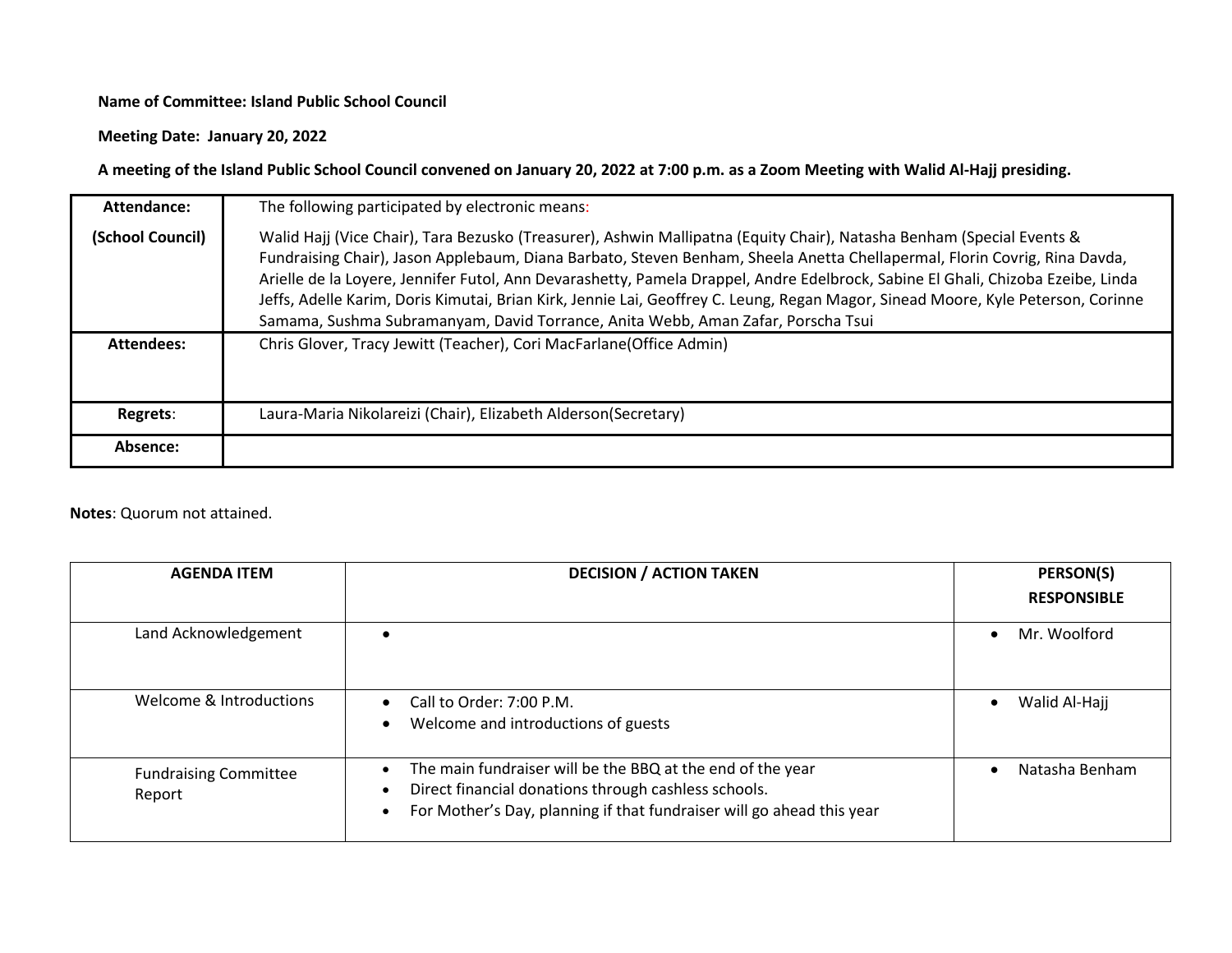## **Name of Committee: Island Public School Council**

**Meeting Date: January 20, 2022**

**A meeting of the Island Public School Council convened on January 20, 2022 at 7:00 p.m. as a Zoom Meeting with Walid Al-Hajj presiding.**

| Attendance:       | The following participated by electronic means:                                                                                                                                                                                                                                                                                                                                                                                                                                                                                                                                                               |
|-------------------|---------------------------------------------------------------------------------------------------------------------------------------------------------------------------------------------------------------------------------------------------------------------------------------------------------------------------------------------------------------------------------------------------------------------------------------------------------------------------------------------------------------------------------------------------------------------------------------------------------------|
| (School Council)  | Walid Hajj (Vice Chair), Tara Bezusko (Treasurer), Ashwin Mallipatna (Equity Chair), Natasha Benham (Special Events &<br>Fundraising Chair), Jason Applebaum, Diana Barbato, Steven Benham, Sheela Anetta Chellapermal, Florin Covrig, Rina Davda,<br>Arielle de la Loyere, Jennifer Futol, Ann Devarashetty, Pamela Drappel, Andre Edelbrock, Sabine El Ghali, Chizoba Ezeibe, Linda<br>Jeffs, Adelle Karim, Doris Kimutai, Brian Kirk, Jennie Lai, Geoffrey C. Leung, Regan Magor, Sinead Moore, Kyle Peterson, Corinne<br>Samama, Sushma Subramanyam, David Torrance, Anita Webb, Aman Zafar, Porscha Tsui |
| <b>Attendees:</b> | Chris Glover, Tracy Jewitt (Teacher), Cori MacFarlane(Office Admin)                                                                                                                                                                                                                                                                                                                                                                                                                                                                                                                                           |
| Regrets:          | Laura-Maria Nikolareizi (Chair), Elizabeth Alderson(Secretary)                                                                                                                                                                                                                                                                                                                                                                                                                                                                                                                                                |
| Absence:          |                                                                                                                                                                                                                                                                                                                                                                                                                                                                                                                                                                                                               |

## **Notes**: Quorum not attained.

| <b>AGENDA ITEM</b>                     | <b>DECISION / ACTION TAKEN</b>                                                                                                                                                                                                     | <b>PERSON(S)</b>          |
|----------------------------------------|------------------------------------------------------------------------------------------------------------------------------------------------------------------------------------------------------------------------------------|---------------------------|
|                                        |                                                                                                                                                                                                                                    | <b>RESPONSIBLE</b>        |
| Land Acknowledgement                   |                                                                                                                                                                                                                                    | Mr. Woolford<br>$\bullet$ |
| Welcome & Introductions                | Call to Order: 7:00 P.M.<br>$\bullet$<br>Welcome and introductions of guests<br>$\bullet$                                                                                                                                          | Walid Al-Hajj             |
| <b>Fundraising Committee</b><br>Report | The main fundraiser will be the BBQ at the end of the year<br>$\bullet$<br>Direct financial donations through cashless schools.<br>$\bullet$<br>For Mother's Day, planning if that fundraiser will go ahead this year<br>$\bullet$ | Natasha Benham            |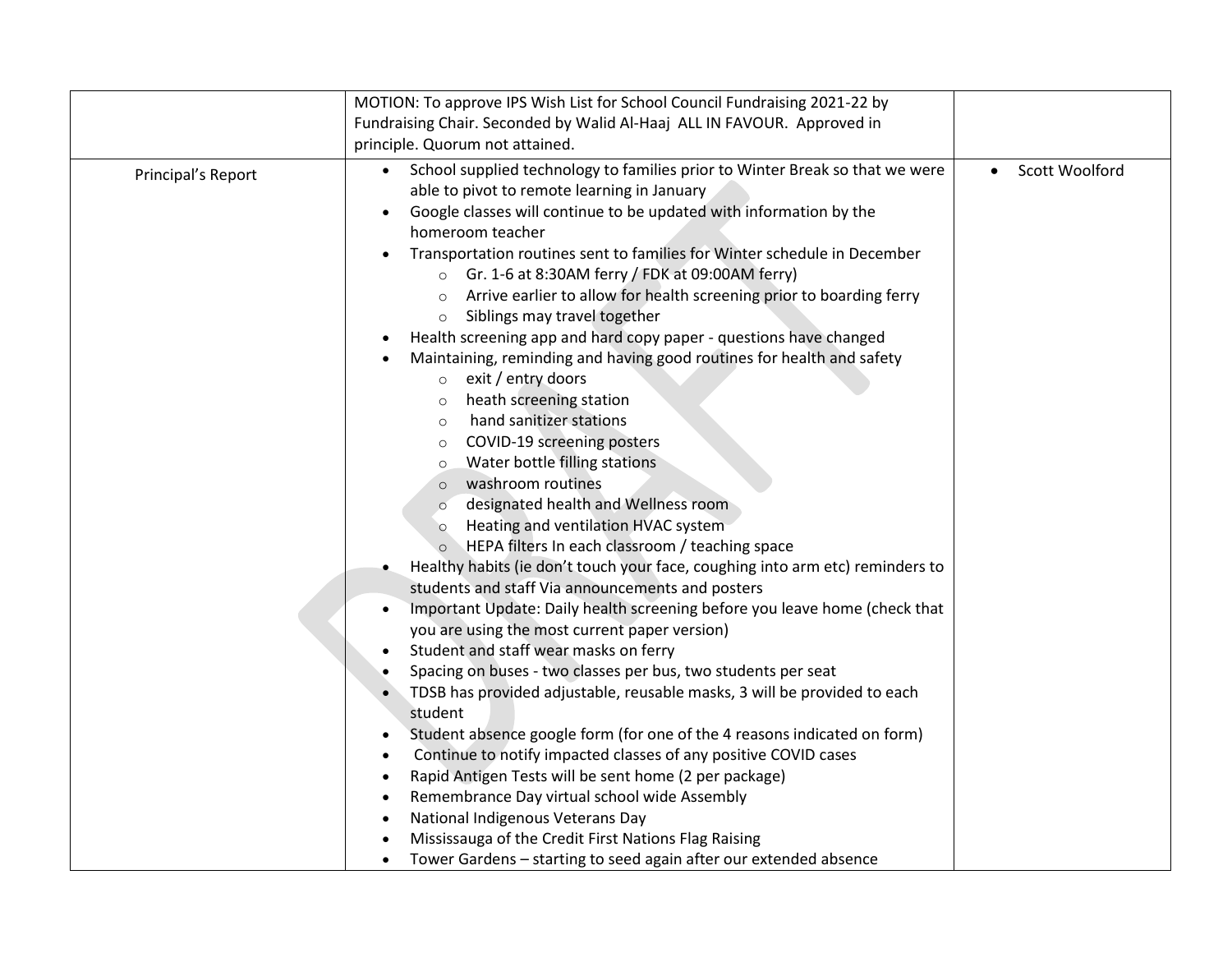|                    | MOTION: To approve IPS Wish List for School Council Fundraising 2021-22 by                                                                                                                                                                                                                                                                                                                                                                                                                                                                                                                                                                                                                                                                                                                                                                                                                                                                                                                                                                                                                                                                                                                                                                                                                                                                                                                                                                                                                                                                                                                                                                                                                                                                                                          |                             |
|--------------------|-------------------------------------------------------------------------------------------------------------------------------------------------------------------------------------------------------------------------------------------------------------------------------------------------------------------------------------------------------------------------------------------------------------------------------------------------------------------------------------------------------------------------------------------------------------------------------------------------------------------------------------------------------------------------------------------------------------------------------------------------------------------------------------------------------------------------------------------------------------------------------------------------------------------------------------------------------------------------------------------------------------------------------------------------------------------------------------------------------------------------------------------------------------------------------------------------------------------------------------------------------------------------------------------------------------------------------------------------------------------------------------------------------------------------------------------------------------------------------------------------------------------------------------------------------------------------------------------------------------------------------------------------------------------------------------------------------------------------------------------------------------------------------------|-----------------------------|
|                    | Fundraising Chair. Seconded by Walid Al-Haaj ALL IN FAVOUR. Approved in                                                                                                                                                                                                                                                                                                                                                                                                                                                                                                                                                                                                                                                                                                                                                                                                                                                                                                                                                                                                                                                                                                                                                                                                                                                                                                                                                                                                                                                                                                                                                                                                                                                                                                             |                             |
|                    | principle. Quorum not attained.                                                                                                                                                                                                                                                                                                                                                                                                                                                                                                                                                                                                                                                                                                                                                                                                                                                                                                                                                                                                                                                                                                                                                                                                                                                                                                                                                                                                                                                                                                                                                                                                                                                                                                                                                     |                             |
| Principal's Report | School supplied technology to families prior to Winter Break so that we were<br>$\bullet$<br>able to pivot to remote learning in January<br>Google classes will continue to be updated with information by the<br>homeroom teacher<br>Transportation routines sent to families for Winter schedule in December<br>○ Gr. 1-6 at 8:30AM ferry / FDK at 09:00AM ferry)<br>Arrive earlier to allow for health screening prior to boarding ferry<br>$\circ$<br>Siblings may travel together<br>$\circ$<br>Health screening app and hard copy paper - questions have changed<br>$\bullet$<br>Maintaining, reminding and having good routines for health and safety<br>$\circ$ exit / entry doors<br>heath screening station<br>$\circ$<br>hand sanitizer stations<br>$\circ$<br>COVID-19 screening posters<br>$\circ$<br>Water bottle filling stations<br>$\circ$<br>washroom routines<br>$\circ$<br>designated health and Wellness room<br>$\circ$<br>Heating and ventilation HVAC system<br>$\circ$<br>HEPA filters In each classroom / teaching space<br>Healthy habits (ie don't touch your face, coughing into arm etc) reminders to<br>students and staff Via announcements and posters<br>Important Update: Daily health screening before you leave home (check that<br>you are using the most current paper version)<br>Student and staff wear masks on ferry<br>$\bullet$<br>Spacing on buses - two classes per bus, two students per seat<br>TDSB has provided adjustable, reusable masks, 3 will be provided to each<br>student<br>Student absence google form (for one of the 4 reasons indicated on form)<br>$\bullet$<br>Continue to notify impacted classes of any positive COVID cases<br>$\bullet$<br>Rapid Antigen Tests will be sent home (2 per package)<br>$\bullet$ | Scott Woolford<br>$\bullet$ |
|                    |                                                                                                                                                                                                                                                                                                                                                                                                                                                                                                                                                                                                                                                                                                                                                                                                                                                                                                                                                                                                                                                                                                                                                                                                                                                                                                                                                                                                                                                                                                                                                                                                                                                                                                                                                                                     |                             |
|                    | Remembrance Day virtual school wide Assembly<br>$\bullet$                                                                                                                                                                                                                                                                                                                                                                                                                                                                                                                                                                                                                                                                                                                                                                                                                                                                                                                                                                                                                                                                                                                                                                                                                                                                                                                                                                                                                                                                                                                                                                                                                                                                                                                           |                             |
|                    | National Indigenous Veterans Day<br>$\bullet$                                                                                                                                                                                                                                                                                                                                                                                                                                                                                                                                                                                                                                                                                                                                                                                                                                                                                                                                                                                                                                                                                                                                                                                                                                                                                                                                                                                                                                                                                                                                                                                                                                                                                                                                       |                             |
|                    | Mississauga of the Credit First Nations Flag Raising                                                                                                                                                                                                                                                                                                                                                                                                                                                                                                                                                                                                                                                                                                                                                                                                                                                                                                                                                                                                                                                                                                                                                                                                                                                                                                                                                                                                                                                                                                                                                                                                                                                                                                                                |                             |
|                    | Tower Gardens - starting to seed again after our extended absence                                                                                                                                                                                                                                                                                                                                                                                                                                                                                                                                                                                                                                                                                                                                                                                                                                                                                                                                                                                                                                                                                                                                                                                                                                                                                                                                                                                                                                                                                                                                                                                                                                                                                                                   |                             |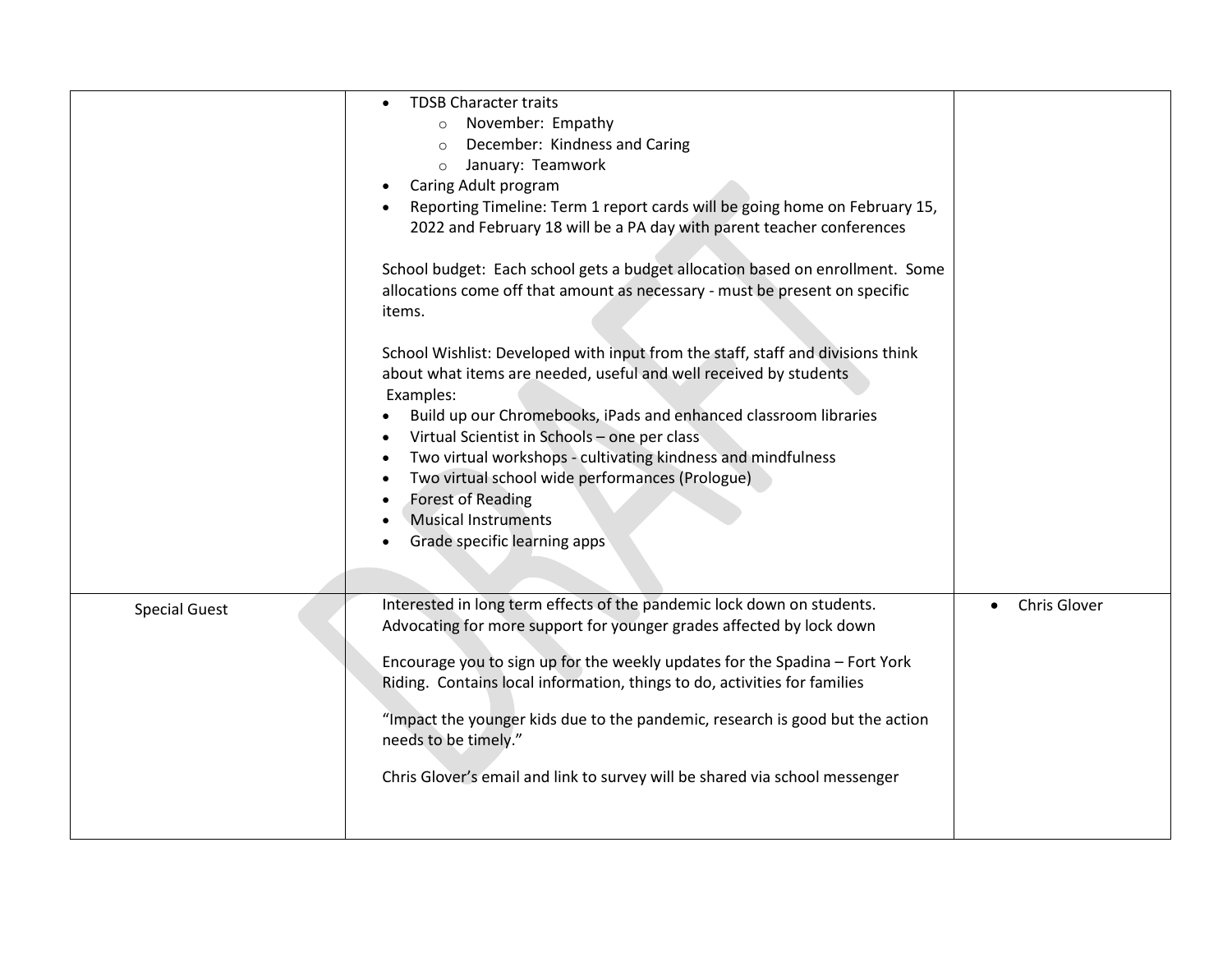|                      | <b>TDSB Character traits</b>                                                    |              |
|----------------------|---------------------------------------------------------------------------------|--------------|
|                      |                                                                                 |              |
|                      | November: Empathy<br>$\circ$                                                    |              |
|                      | December: Kindness and Caring<br>$\circ$                                        |              |
|                      | January: Teamwork<br>$\circ$                                                    |              |
|                      | Caring Adult program                                                            |              |
|                      | Reporting Timeline: Term 1 report cards will be going home on February 15,      |              |
|                      | 2022 and February 18 will be a PA day with parent teacher conferences           |              |
|                      |                                                                                 |              |
|                      | School budget: Each school gets a budget allocation based on enrollment. Some   |              |
|                      | allocations come off that amount as necessary - must be present on specific     |              |
|                      | items.                                                                          |              |
|                      |                                                                                 |              |
|                      | School Wishlist: Developed with input from the staff, staff and divisions think |              |
|                      | about what items are needed, useful and well received by students               |              |
|                      | Examples:                                                                       |              |
|                      | Build up our Chromebooks, iPads and enhanced classroom libraries                |              |
|                      | Virtual Scientist in Schools - one per class<br>$\bullet$                       |              |
|                      | Two virtual workshops - cultivating kindness and mindfulness<br>$\bullet$       |              |
|                      | Two virtual school wide performances (Prologue)<br>$\bullet$                    |              |
|                      | <b>Forest of Reading</b><br>$\bullet$                                           |              |
|                      | <b>Musical Instruments</b>                                                      |              |
|                      | Grade specific learning apps                                                    |              |
|                      |                                                                                 |              |
|                      |                                                                                 |              |
| <b>Special Guest</b> | Interested in long term effects of the pandemic lock down on students.          | Chris Glover |
|                      | Advocating for more support for younger grades affected by lock down            |              |
|                      |                                                                                 |              |
|                      | Encourage you to sign up for the weekly updates for the Spadina - Fort York     |              |
|                      | Riding. Contains local information, things to do, activities for families       |              |
|                      | "Impact the younger kids due to the pandemic, research is good but the action   |              |
|                      | needs to be timely."                                                            |              |
|                      |                                                                                 |              |
|                      | Chris Glover's email and link to survey will be shared via school messenger     |              |
|                      |                                                                                 |              |
|                      |                                                                                 |              |
|                      |                                                                                 |              |